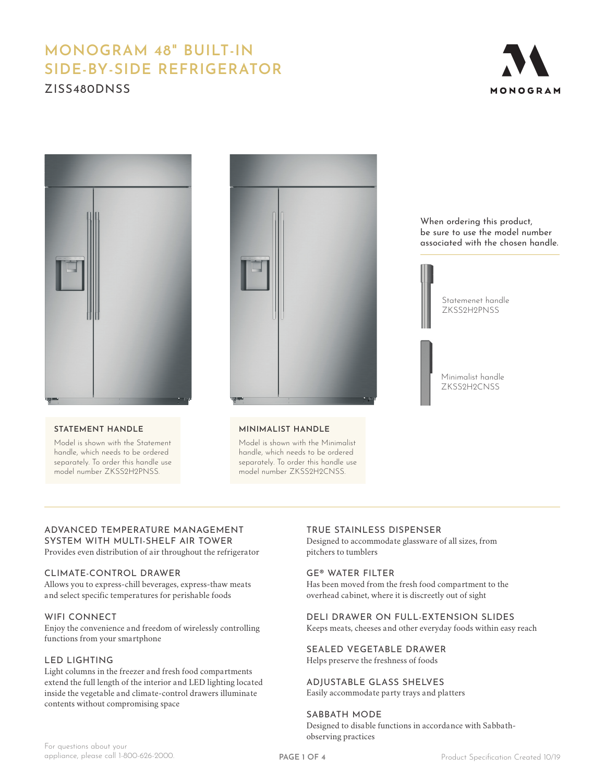# **MONOGRAM 48" BUILT-IN SIDE-BY-SIDE REFRIGERATOR** ZISS480DNSS





#### **STATEMENT HANDLE**

Model is shown with the Statement handle, which needs to be ordered separately. To order this handle use model number ZKSS2H2PNSS.



#### **MINIMALIST HANDLE**

Model is shown with the Minimalist handle, which needs to be ordered separately. To order this handle use model number ZKSS2H2CNSS.

When ordering this product, be sure to use the model number associated with the chosen handle.



## ADVANCED TEMPERATURE MANAGEMENT SYSTEM WITH MULTI-SHELF AIR TOWER

Provides even distribution of air throughout the refrigerator

#### CLIMATE-CONTROL DRAWER

Allows you to express-chill beverages, express-thaw meats and select specific temperatures for perishable foods

#### WIFI CONNECT

Enjoy the convenience and freedom of wirelessly controlling functions from your smartphone

#### LED LIGHTING

Light columns in the freezer and fresh food compartments extend the full length of the interior and LED lighting located inside the vegetable and climate-control drawers illuminate contents without compromising space

#### TRUE STAINLESS DISPENSER

Designed to accommodate glassware of all sizes, from pitchers to tumblers

#### GE® WATER FILTER

Has been moved from the fresh food compartment to the overhead cabinet, where it is discreetly out of sight

## DELI DRAWER ON FULL-EXTENSION SLIDES

Keeps meats, cheeses and other everyday foods within easy reach

SEALED VEGETABLE DRAWER Helps preserve the freshness of foods

ADJUSTABLE GLASS SHELVES

Easily accommodate party trays and platters

#### SABBATH MODE Designed to disable functions in accordance with Sabbathobserving practices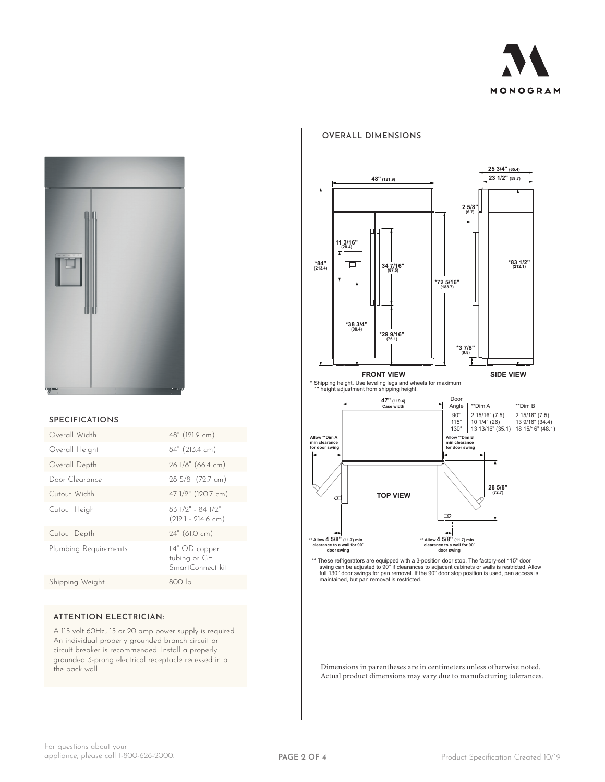



#### **SPECIFICATIONS**

| Overall Width         | 48" (121.9 cm)                                       |
|-----------------------|------------------------------------------------------|
| Overall Height        | 84" (213.4 cm)                                       |
| Overall Depth         | 26 1/8" (66.4 cm)                                    |
| Door Clearance        | 28 5/8" (72.7 cm)                                    |
| Cutout Width          | 47 1/2" (120.7 cm)                                   |
| Cutout Height         | 83 1/9" - 84 1/2"<br>$(212.1 - 214.6$ cm)            |
| Cutout Depth          | 24" (61.0 cm)                                        |
| Plumbing Requirements | $1.4"$ OD copper<br>tubing or GE<br>SmartConnect kit |
| Shipping Weight       | 800 lb                                               |

#### **ATTENTION ELECTRICIAN:**

A 115 volt 60Hz., 15 or 20 amp power supply is required. An individual properly grounded branch circuit or circuit breaker is recommended. Install a properly grounded 3-prong electrical receptacle recessed into the back wall.

#### **OVERALL DIMENSIONS**



**100 YIEW CONSUMING**  $\left\{\left\{\right\}\right\}\right\}$  **<b>28 5/8"**  $\overline{\phantom{0}}$ H **\*\* Allow 4 5/8" (11.7) min clearance to a wall for 90˚ door swing \*\* Allow 4 5/8" (11.7) min clearance to a wall for 90˚ door swing**

\*\* These refrigerators are equipped with a 3-position door stop. The factory-set 115° door<br>swing can be adjusted to 90° if clearances to adjacent cabinets or walls is restricted. Allow<br>full 130° door swings for pan removal

Dimensions in parentheses are in centimeters unless otherwise noted. Actual product dimensions may vary due to manufacturing tolerances.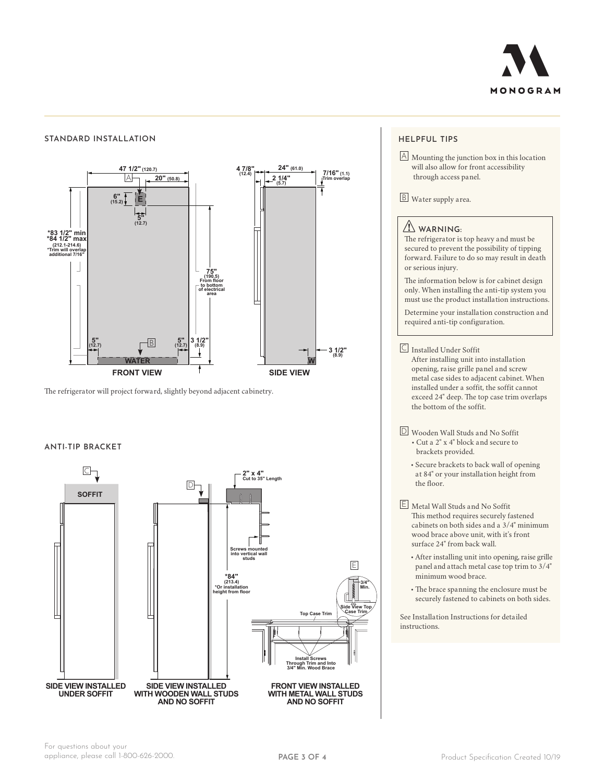

#### **STANDARD INSTALLATION**



**3 1/2" (8.9) 5" (12.7) 5" (12.7)** The refrigerator will project forward, slightly beyond adjacent cabinetry.

## **SOFFIT ANTI-TIP BRACKET**



#### **HELPFUL TIPS**

A Mounting the junction box in this location will also allow for front accessibility through access panel.

B Water supply area.

#### **WARNING:**

The refrigerator is top heavy and must be secured to prevent the possibility of tipping forward. Failure to do so may result in death or serious injury.

The information below is for cabinet design only. When installing the anti-tip system you must use the product installation instructions.

Determine your installation construction and required anti-tip configuration.

C Installed Under Soffit After installing unit into installation opening, raise grille panel and screw metal case sides to adjacent cabinet. When installed under a soffit, the soffit cannot exceed 24" deep. The top case trim overlaps the bottom of the soffit.

- D Wooden Wall Studs and No Soffit • Cut a 2" x 4" block and secure to brackets provided.
	- Secure brackets to back wall of opening at 84" or your installation height from the floor.
- E Metal Wall Studs and No Soffit This method requires securely fastened cabinets on both sides and a 3/4" minimum wood brace above unit, with it's front surface 24" from back wall.
	- After installing unit into opening, raise grille panel and attach metal case top trim to 3/4" minimum wood brace.
	- The brace spanning the enclosure must be securely fastened to cabinets on both sides.

See Installation Instructions for detailed instructions.